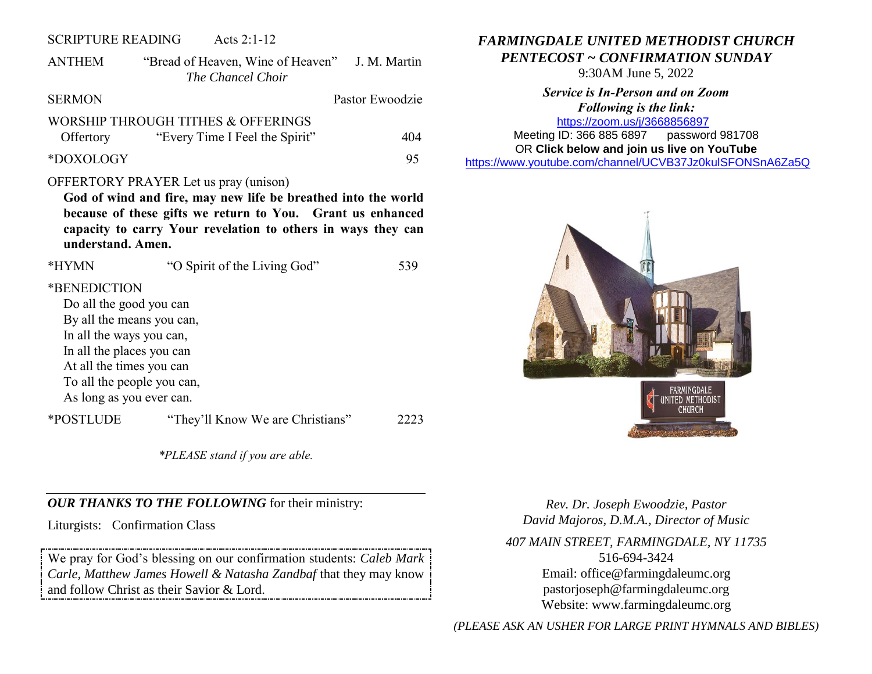#### SCRIPTURE READING Acts 2:1-12

ANTHEM "Bread of Heaven, Wine of Heaven" J. M. Martin *The Chancel Choir*

# SERMON Pastor Ewoodzie

#### WORSHIP THROUGH TITHES & OFFERINGS Offertory "Every Time I Feel the Spirit" 404

\*DOXOLOGY 95

#### OFFERTORY PRAYER Let us pray (unison)

**God of wind and fire, may new life be breathed into the world because of these gifts we return to You. Grant us enhanced capacity to carry Your revelation to others in ways they can understand. Amen.** 

| *HYMN                      | "O Spirit of the Living God"     | 539 |  |  |
|----------------------------|----------------------------------|-----|--|--|
| *BENEDICTION               |                                  |     |  |  |
| Do all the good you can    |                                  |     |  |  |
| By all the means you can,  |                                  |     |  |  |
| In all the ways you can,   |                                  |     |  |  |
| In all the places you can  |                                  |     |  |  |
| At all the times you can   |                                  |     |  |  |
| To all the people you can, |                                  |     |  |  |
| As long as you ever can.   |                                  |     |  |  |
| *POSTLUDE                  | "They'll Know We are Christians" |     |  |  |

*\*PLEASE stand if you are able.*

## *OUR THANKS TO THE FOLLOWING* for their ministry:

Liturgists: Confirmation Class

We pray for God's blessing on our confirmation students: *Caleb Mark Carle, Matthew James Howell & Natasha Zandbaf* that they may know and follow Christ as their Savior & Lord.

# *FARMINGDALE UNITED METHODIST CHURCH PENTECOST ~ CONFIRMATION SUNDAY*

9:30AM June 5, 2022

*Service is In-Person and on Zoom Following is the link:* <https://zoom.us/j/3668856897>

Meeting ID: 366 885 6897 password 981708 OR **Click below and join us live on YouTube** 

[https://www.youtube.com/channel/UCVB37Jz0kulSFONSnA6Za5Q](https://r20.rs6.net/tn.jsp?f=001k6RGPvPFbGGMIcfKWiNR_iQRr6wnePVJO5wPBmTGTUG-6H7Rno-Ccjzncf7RAcA2aCO1usCGiuYYhUDPog8HWc38p-B70aEHKS8a7AZ633unLlDnlsyY1rSZY7DrB1di009D1MFmnX36MQIEkLrC34ZIDpgMTMT95Xsd-rYhXX761Me0QKhAdY1E-Os86l7d&c=&ch=)



*Rev. Dr. Joseph Ewoodzie, Pastor David Majoros, D.M.A., Director of Music*

*407 MAIN STREET, FARMINGDALE, NY 11735* 516-694-3424 Email: [office@farmingdaleumc.org](mailto:office@farmingdaleumc.org) pastorjoseph@farmingdaleumc.org Website: www.farmingdaleumc.org

*(PLEASE ASK AN USHER FOR LARGE PRINT HYMNALS AND BIBLES)*